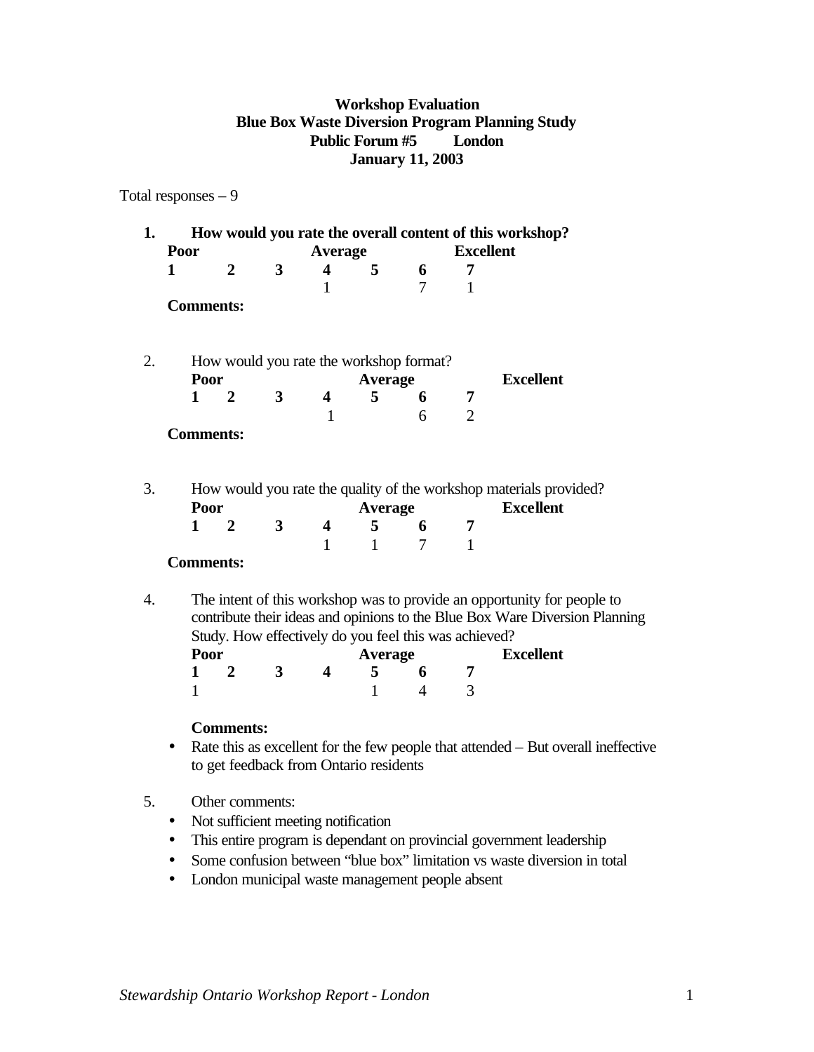### **Workshop Evaluation Blue Box Waste Diversion Program Planning Study Public Forum #5 London January 11, 2003**

### Total responses – 9

| 1. | How would you rate the overall content of this workshop?                                                                                                                                                        |                  |                |                         |   |   |                  |                  |
|----|-----------------------------------------------------------------------------------------------------------------------------------------------------------------------------------------------------------------|------------------|----------------|-------------------------|---|---|------------------|------------------|
|    | Poor                                                                                                                                                                                                            |                  | <b>Average</b> |                         |   |   | <b>Excellent</b> |                  |
|    | 1                                                                                                                                                                                                               | $\mathbf{2}$     | 3              | $\overline{\mathbf{4}}$ | 5 | 6 | 7                |                  |
|    |                                                                                                                                                                                                                 |                  |                | 1                       |   | 7 | 1                |                  |
|    | <b>Comments:</b>                                                                                                                                                                                                |                  |                |                         |   |   |                  |                  |
| 2. | How would you rate the workshop format?                                                                                                                                                                         |                  |                |                         |   |   |                  |                  |
|    | Poor                                                                                                                                                                                                            |                  | <b>Average</b> |                         |   |   | <b>Excellent</b> |                  |
|    | $\mathbf{1}$                                                                                                                                                                                                    | $\overline{2}$   | 3              | 4                       | 5 | 6 | 7                |                  |
|    |                                                                                                                                                                                                                 |                  |                | $\mathbf{1}$            |   | 6 | $\overline{2}$   |                  |
|    | <b>Comments:</b>                                                                                                                                                                                                |                  |                |                         |   |   |                  |                  |
| 3. | How would you rate the quality of the workshop materials provided?<br><b>Excellent</b><br>Poor<br><b>Average</b>                                                                                                |                  |                |                         |   |   |                  |                  |
|    | $\mathbf{1}$                                                                                                                                                                                                    | $\overline{2}$   | 3              | $\overline{\mathbf{4}}$ | 5 | 6 | 7                |                  |
|    |                                                                                                                                                                                                                 |                  |                | $\mathbf{1}$            | 1 | 7 | $\mathbf{1}$     |                  |
|    | <b>Comments:</b>                                                                                                                                                                                                |                  |                |                         |   |   |                  |                  |
| 4. | The intent of this workshop was to provide an opportunity for people to<br>contribute their ideas and opinions to the Blue Box Ware Diversion Planning<br>Study. How effectively do you feel this was achieved? |                  |                |                         |   |   |                  |                  |
|    | Poor                                                                                                                                                                                                            |                  | <b>Average</b> |                         |   |   |                  | <b>Excellent</b> |
|    | 1                                                                                                                                                                                                               | $\mathbf{2}$     | 3              | 4                       | 5 | 6 | 7                |                  |
|    | 1                                                                                                                                                                                                               |                  |                |                         | 1 | 4 | 3                |                  |
|    |                                                                                                                                                                                                                 | <b>Comments:</b> |                |                         |   |   |                  |                  |

- Rate this as excellent for the few people that attended But overall ineffective to get feedback from Ontario residents
- 5. Other comments:
	- Not sufficient meeting notification
	- This entire program is dependant on provincial government leadership
	- Some confusion between "blue box" limitation vs waste diversion in total
	- London municipal waste management people absent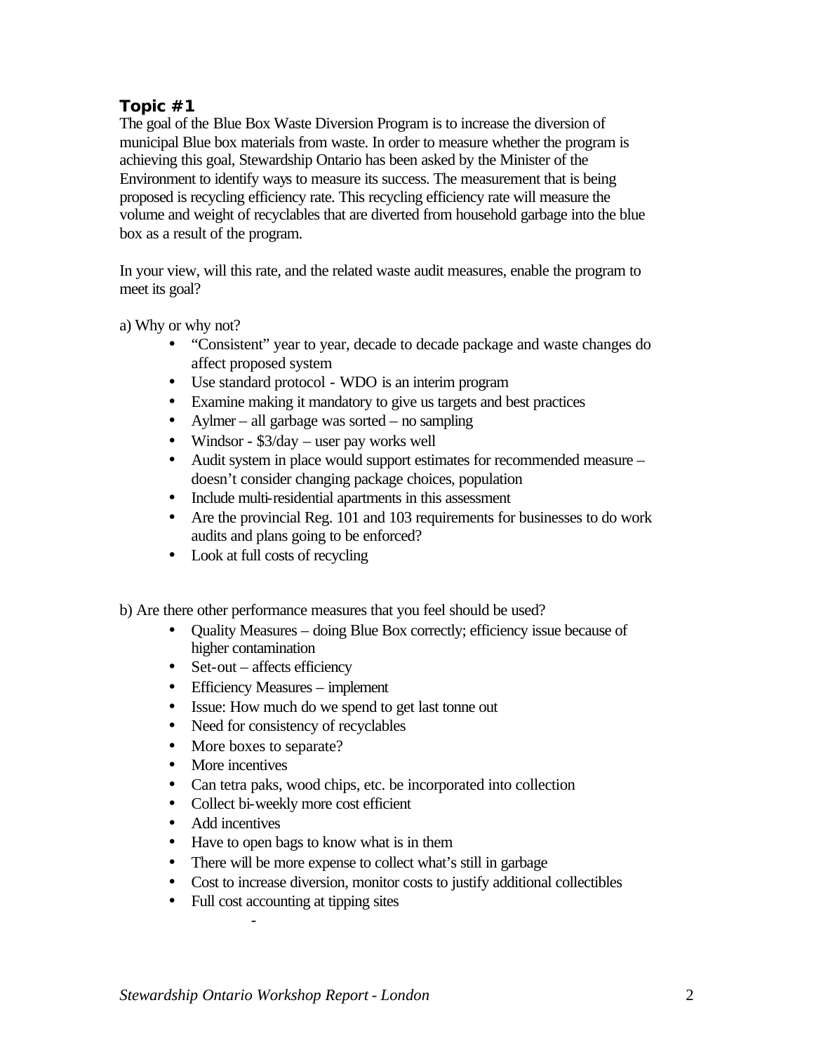## **Topic #1**

The goal of the Blue Box Waste Diversion Program is to increase the diversion of municipal Blue box materials from waste. In order to measure whether the program is achieving this goal, Stewardship Ontario has been asked by the Minister of the Environment to identify ways to measure its success. The measurement that is being proposed is recycling efficiency rate. This recycling efficiency rate will measure the volume and weight of recyclables that are diverted from household garbage into the blue box as a result of the program.

In your view, will this rate, and the related waste audit measures, enable the program to meet its goal?

a) Why or why not?

- "Consistent" year to year, decade to decade package and waste changes do affect proposed system
- Use standard protocol WDO is an interim program
- Examine making it mandatory to give us targets and best practices
- Aylmer all garbage was sorted no sampling
- Windsor \$3/day user pay works well
- Audit system in place would support estimates for recommended measure doesn't consider changing package choices, population
- Include multi-residential apartments in this assessment
- Are the provincial Reg. 101 and 103 requirements for businesses to do work audits and plans going to be enforced?
- Look at full costs of recycling
- b) Are there other performance measures that you feel should be used?
	- Quality Measures doing Blue Box correctly; efficiency issue because of higher contamination
	- Set-out affects efficiency
	- Efficiency Measures implement
	- Issue: How much do we spend to get last tonne out
	- Need for consistency of recyclables
	- More boxes to separate?
	- More incentives
	- Can tetra paks, wood chips, etc. be incorporated into collection
	- Collect bi-weekly more cost efficient
	- Add incentives
	- Have to open bags to know what is in them
	- There will be more expense to collect what's still in garbage
	- Cost to increase diversion, monitor costs to justify additional collectibles
	- Full cost accounting at tipping sites

-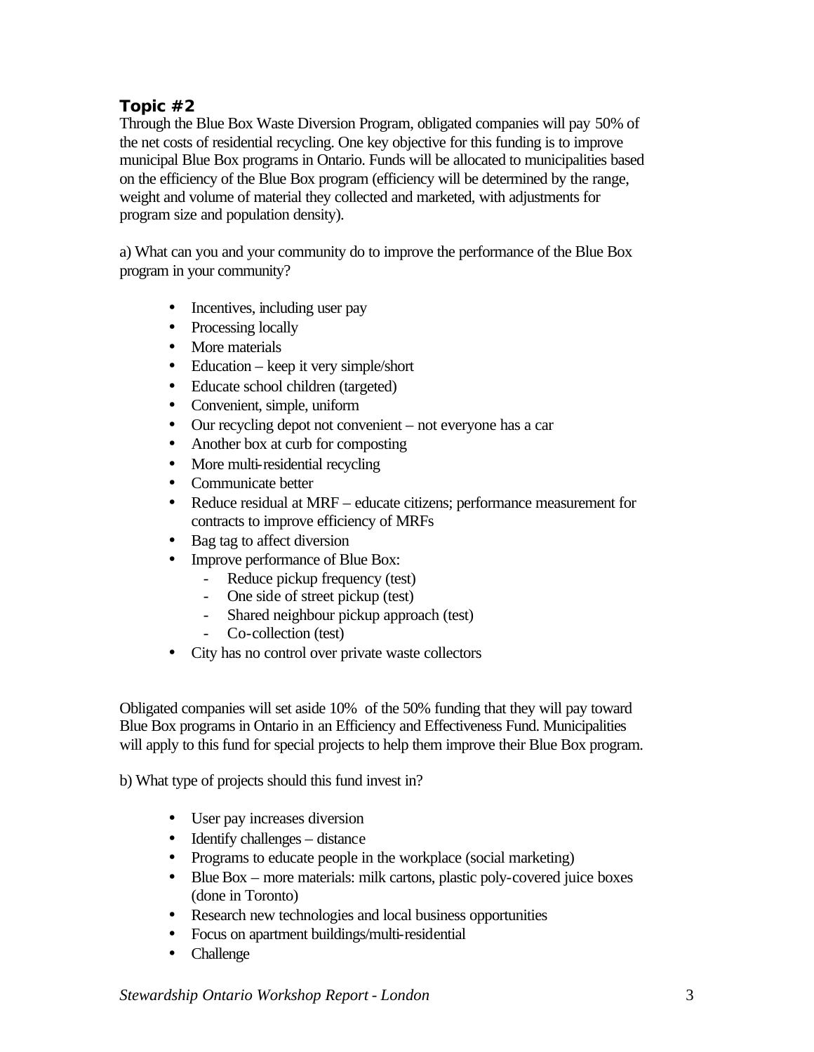# **Topic #2**

Through the Blue Box Waste Diversion Program, obligated companies will pay 50% of the net costs of residential recycling. One key objective for this funding is to improve municipal Blue Box programs in Ontario. Funds will be allocated to municipalities based on the efficiency of the Blue Box program (efficiency will be determined by the range, weight and volume of material they collected and marketed, with adjustments for program size and population density).

a) What can you and your community do to improve the performance of the Blue Box program in your community?

- Incentives, including user pay
- Processing locally
- More materials
- Education keep it very simple/short
- Educate school children (targeted)
- Convenient, simple, uniform
- Our recycling depot not convenient not everyone has a car
- Another box at curb for composting
- More multi-residential recycling
- Communicate better
- Reduce residual at MRF educate citizens; performance measurement for contracts to improve efficiency of MRFs
- Bag tag to affect diversion
- Improve performance of Blue Box:
	- Reduce pickup frequency (test)
	- One side of street pickup (test)
	- Shared neighbour pickup approach (test)
	- Co-collection (test)
- City has no control over private waste collectors

Obligated companies will set aside 10% of the 50% funding that they will pay toward Blue Box programs in Ontario in an Efficiency and Effectiveness Fund. Municipalities will apply to this fund for special projects to help them improve their Blue Box program.

b) What type of projects should this fund invest in?

- User pay increases diversion
- Identify challenges distance
- Programs to educate people in the workplace (social marketing)
- Blue Box more materials: milk cartons, plastic poly-covered juice boxes (done in Toronto)
- Research new technologies and local business opportunities
- Focus on apartment buildings/multi-residential
- Challenge